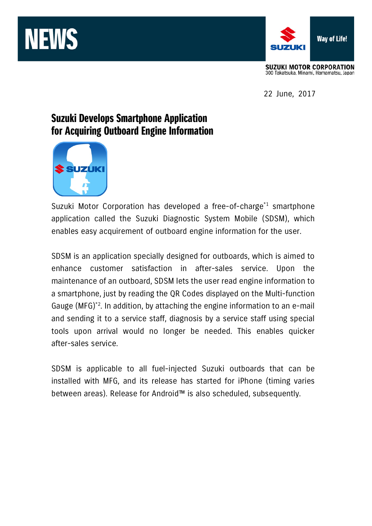



**SUZUKI MOTOR CORPORATION** 300 Takatsuka, Minami, Hamamatsu, Japan

22 June, 2017

# Suzuki Develops Smartphone Application for Acquiring Outboard Engine Information



Suzuki Motor Corporation has developed a free-of-charge<sup>\*1</sup> smartphone application called the Suzuki Diagnostic System Mobile (SDSM), which enables easy acquirement of outboard engine information for the user.

SDSM is an application specially designed for outboards, which is aimed to enhance customer satisfaction in after-sales service. Upon the maintenance of an outboard, SDSM lets the user read engine information to a smartphone, just by reading the QR Codes displayed on the Multi-function Gauge (MFG)\*2. In addition, by attaching the engine information to an e-mail and sending it to a service staff, diagnosis by a service staff using special tools upon arrival would no longer be needed. This enables quicker after-sales service.

SDSM is applicable to all fuel-injected Suzuki outboards that can be installed with MFG, and its release has started for iPhone (timing varies between areas). Release for Android™ is also scheduled, subsequently.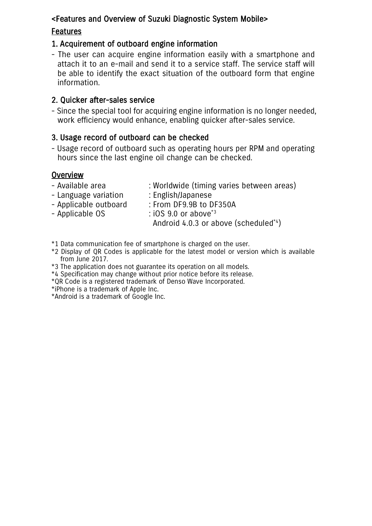## <Features and Overview of Suzuki Diagnostic System Mobile>

# Features

### 1. Acquirement of outboard engine information

- The user can acquire engine information easily with a smartphone and attach it to an e-mail and send it to a service staff. The service staff will be able to identify the exact situation of the outboard form that engine information.

### 2. Quicker after-sales service

- Since the special tool for acquiring engine information is no longer needed, work efficiency would enhance, enabling quicker after-sales service.

## 3. Usage record of outboard can be checked

- Usage record of outboard such as operating hours per RPM and operating hours since the last engine oil change can be checked.

#### **Overview**

- Available area : Worldwide (timing varies between areas)
- Language variation : English/Japanese
- 
- Applicable OS : iOS 9.0 or above<sup>\*3</sup>
- Applicable outboard : From DF9.9B to DF350A

Android 4.0.3 or above (scheduled<sup>\*4</sup>)

- \*1 Data communication fee of smartphone is charged on the user.
- \*2 Display of QR Codes is applicable for the latest model or version which is available from June 2017.
- \*3 The application does not guarantee its operation on all models.
- \*4 Specification may change without prior notice before its release.
- \*QR Code is a registered trademark of Denso Wave Incorporated.
- \*iPhone is a trademark of Apple Inc.

\*Android is a trademark of Google Inc.